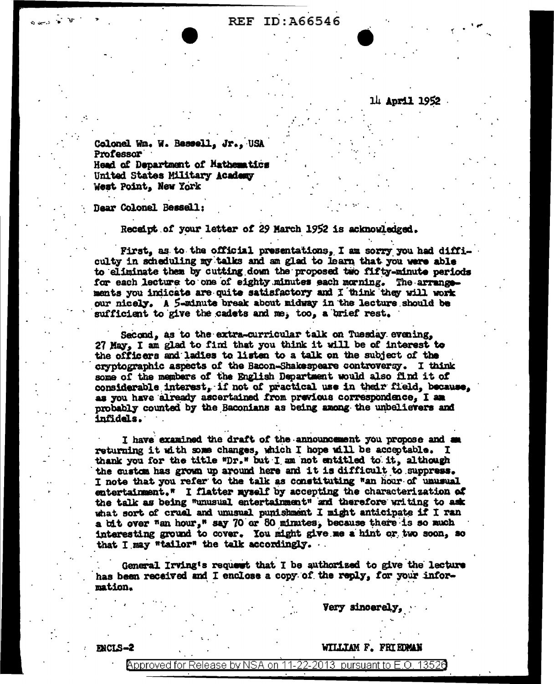# REF ID: A66546

14 April 1952

Colonel Wm. W. Bessell, Jr., USA Professor **Head of Department of Mathematics** United States Military Academy West Point, New York

Dear Colonel Bessell:

Receipt of your letter of 29 March 1952 is acknowledged.

First, as to the official presentations, I am sorry you had difficulty in scheduling my talks and am glad to learn that you were able to eliminate them by cutting down the proposed two fifty-minute periods for each lecture to one of eighty minutes each morning. The arrangements you indicate are quite satisfactory and I think they will work our nicely. A 5-minute break about midway in the lecture should be sufficient to give the cadets and me, too, a brief rest.

Sacond. as to the extra-curricular talk on Tuesday evening. 27 May, I am glad to find that you think it will be of interest to the officers and ladies to listen to a talk on the subject of the cryptographic aspects of the Bacon-Shakespeare controversy. I think some of the members of the English Department would also find it of considerable interest. if not of practical use in their field, because. as you have already ascertained from previous correspondence, I am probably counted by the Baconians as being among the unbelievers and infidels.

I have examined the draft of the announcement you propose and returning it with some changes, which I hope will be acceptable. I thank you for the title "Dr." but I am not entitled to it, although the custom has grown up around here and it is difficult to suppress. I note that you refer to the talk as constituting "an hour of unusual entertainment." I flatter myself by accepting the characterization of the talk as being "unusual entertainment" and therefore writing to ask what sort of cruel and unusual punishment I might anticipate if I ran a bit over "an hour," say 70 or 80 minutes, because there is so much interesting ground to cover. You might give me a hint or two soon, so that I may "tailor" the talk accordingly.

General Irving's request that I be authorized to give the lecture has been received and I enclose a copy of the reply, for your information.

Very sincerely

**ENCLS-2** 

WILLIAM F. FRIEDMAN

11-22-2013 pursuant to E.O. 13526 Approved for Release by NSA on-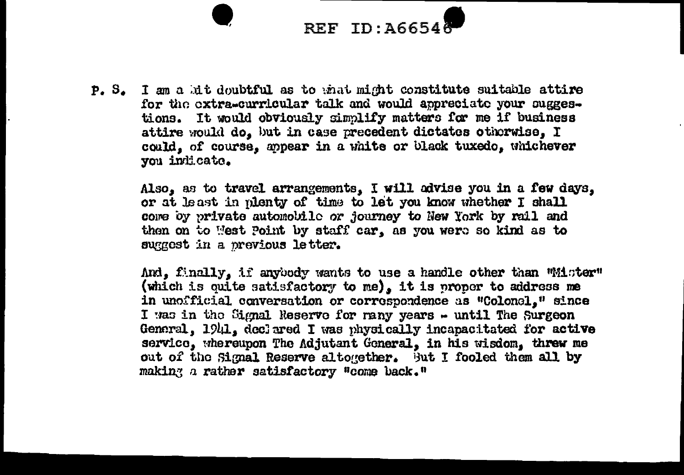# **REF ID: A6654**

P. S. I am a hit doubtful as to mat might constitute suitable attire for the extra-curricular talk and would appreciate your suggestions. It would obviously simplify matters for me if business attire would do. but in case precedent dictates otherwise. I could, of course, appear in a white or black tuxedo, whichever you indicate.

> Also, as to travel arrangements, I will advise you in a few days, or at least in nienty of time to let you know whether I shall core by private automobile or journey to New York by rail and then on to West Point by staff car, as you were so kind as to suggest in a previous letter.

And. finally, if anyoody wants to use a handle other than Wiister" (which is quite satisfactory to me), it is proper to address me in unofficial conversation or correspondence as "Colonel," since I was in the Signal Reserve for rany years - until The Surgeon General, 1941, declared I was physically incapacitated for active service, whereupon The Adjutant General, in his wisdom, threw me out of the Signal Reserve altogether. But I fooled them all by making a rather satisfactory "come back."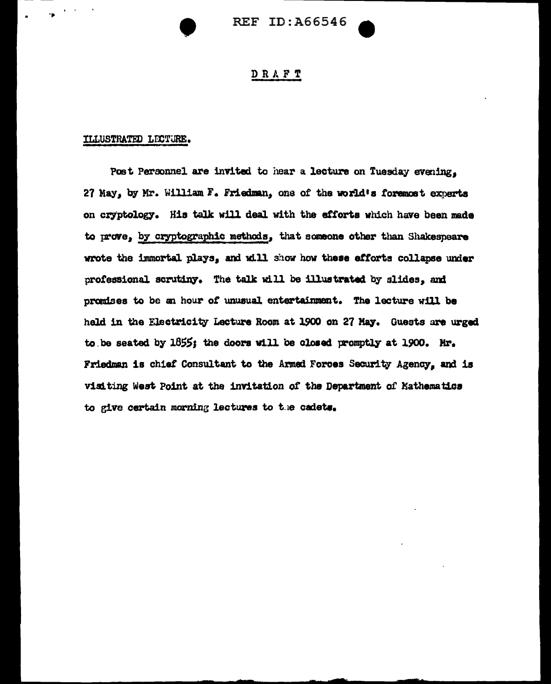

# DRAFT

### ILLUSTRATED LECTURE.

"II'

Post Personnel are invited to hear a lecture on Tuesday evening, 27 May, by Mr. William F. Friedman, one of the world's foremost experts on cryptology. His talk will deal with the efforts which have been made to prove, by cryptographic methods, that someone other than Shakespeare wrote the immortal plays, and will show how these efforts collapse under professional scrutiny. The talk will be illustrated by slides, and promises to be an hour of unusual entertainment. The lecture will be held in the Electricity Lecture Room at 1900 on 27 May. Guests are urged to be seated by  $1855$ ; the doors will be closed promptly at 1900. Mr. Friedman is chiat Consultant to the Armed Forces Security Agency, and is visiting West Point at the invitation of the Department of Mathematics to give certain morning lectures to the cadets.